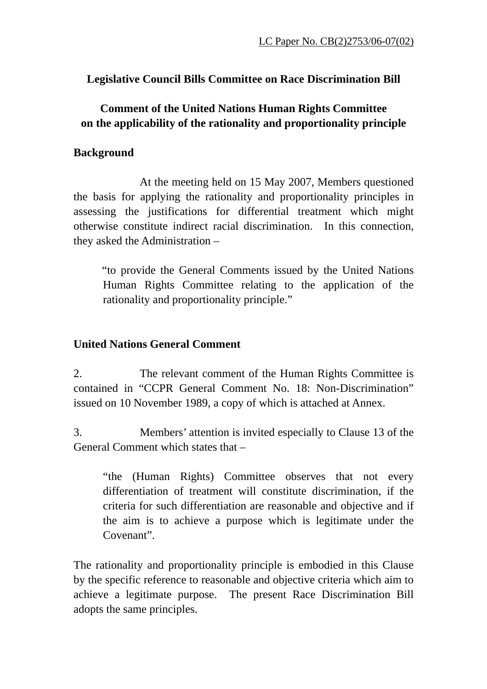# **Legislative Council Bills Committee on Race Discrimination Bill**

# **Comment of the United Nations Human Rights Committee on the applicability of the rationality and proportionality principle**

#### **Background**

At the meeting held on 15 May 2007, Members questioned the basis for applying the rationality and proportionality principles in assessing the justifications for differential treatment which might otherwise constitute indirect racial discrimination. In this connection, they asked the Administration –

"to provide the General Comments issued by the United Nations Human Rights Committee relating to the application of the rationality and proportionality principle."

#### **United Nations General Comment**

2. The relevant comment of the Human Rights Committee is contained in "CCPR General Comment No. 18: Non-Discrimination" issued on 10 November 1989, a copy of which is attached at Annex.

3. Members' attention is invited especially to Clause 13 of the General Comment which states that –

"the (Human Rights) Committee observes that not every differentiation of treatment will constitute discrimination, if the criteria for such differentiation are reasonable and objective and if the aim is to achieve a purpose which is legitimate under the Covenant".

The rationality and proportionality principle is embodied in this Clause by the specific reference to reasonable and objective criteria which aim to achieve a legitimate purpose. The present Race Discrimination Bill adopts the same principles.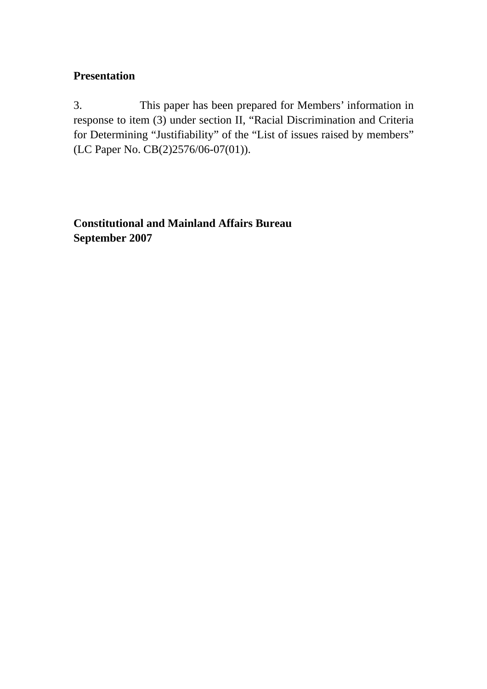# **Presentation**

3. This paper has been prepared for Members' information in response to item (3) under section II, "Racial Discrimination and Criteria for Determining "Justifiability" of the "List of issues raised by members" (LC Paper No. CB(2)2576/06-07(01)).

**Constitutional and Mainland Affairs Bureau September 2007**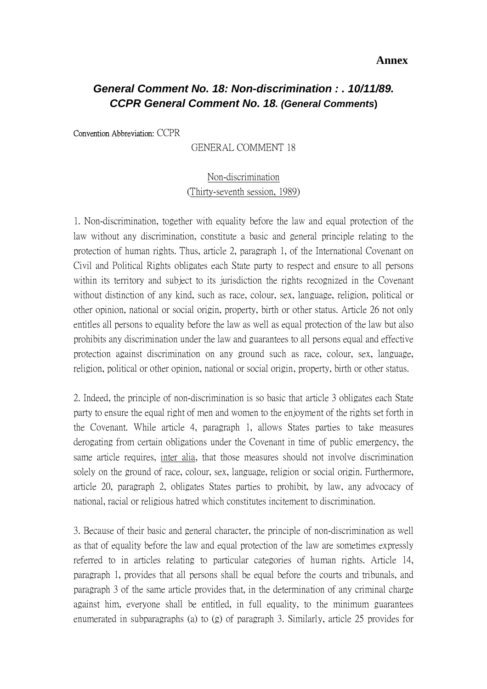#### **Annex**

# *General Comment No. 18: Non-discrimination : . 10/11/89. CCPR General Comment No. 18. (General Comments***)**

Convention Abbreviation: CCPR

GENERAL COMMENT 18

#### Non-discrimination (Thirty-seventh session, 1989)

1. Non-discrimination, together with equality before the law and equal protection of the law without any discrimination, constitute a basic and general principle relating to the protection of human rights. Thus, article 2, paragraph 1, of the International Covenant on Civil and Political Rights obligates each State party to respect and ensure to all persons within its territory and subject to its jurisdiction the rights recognized in the Covenant without distinction of any kind, such as race, colour, sex, language, religion, political or other opinion, national or social origin, property, birth or other status. Article 26 not only entitles all persons to equality before the law as well as equal protection of the law but also prohibits any discrimination under the law and guarantees to all persons equal and effective protection against discrimination on any ground such as race, colour, sex, language, religion, political or other opinion, national or social origin, property, birth or other status.

2. Indeed, the principle of non-discrimination is so basic that article 3 obligates each State party to ensure the equal right of men and women to the enjoyment of the rights set forth in the Covenant. While article 4, paragraph 1, allows States parties to take measures derogating from certain obligations under the Covenant in time of public emergency, the same article requires, inter alia, that those measures should not involve discrimination solely on the ground of race, colour, sex, language, religion or social origin. Furthermore, article 20, paragraph 2, obligates States parties to prohibit, by law, any advocacy of national, racial or religious hatred which constitutes incitement to discrimination.

3. Because of their basic and general character, the principle of non-discrimination as well as that of equality before the law and equal protection of the law are sometimes expressly referred to in articles relating to particular categories of human rights. Article 14, paragraph 1, provides that all persons shall be equal before the courts and tribunals, and paragraph 3 of the same article provides that, in the determination of any criminal charge against him, everyone shall be entitled, in full equality, to the minimum guarantees enumerated in subparagraphs (a) to (g) of paragraph 3. Similarly, article 25 provides for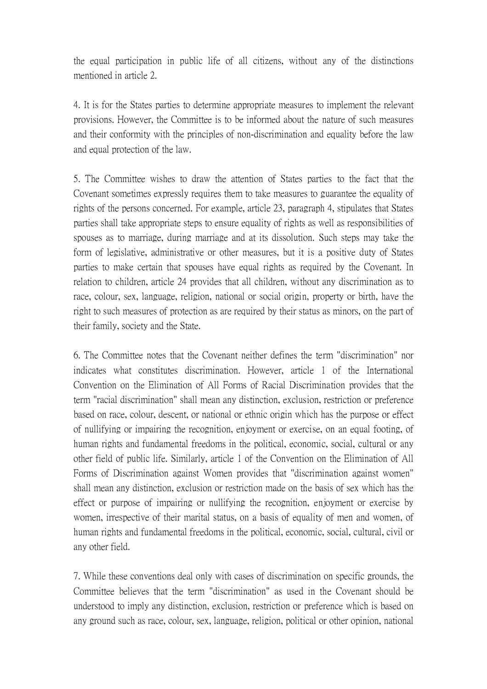the equal participation in public life of all citizens, without any of the distinctions mentioned in article 2.

4. It is for the States parties to determine appropriate measures to implement the relevant provisions. However, the Committee is to be informed about the nature of such measures and their conformity with the principles of non-discrimination and equality before the law and equal protection of the law.

5. The Committee wishes to draw the attention of States parties to the fact that the Covenant sometimes expressly requires them to take measures to guarantee the equality of rights of the persons concerned. For example, article 23, paragraph 4, stipulates that States parties shall take appropriate steps to ensure equality of rights as well as responsibilities of spouses as to marriage, during marriage and at its dissolution. Such steps may take the form of legislative, administrative or other measures, but it is a positive duty of States parties to make certain that spouses have equal rights as required by the Covenant. In relation to children, article 24 provides that all children, without any discrimination as to race, colour, sex, language, religion, national or social origin, property or birth, have the right to such measures of protection as are required by their status as minors, on the part of their family, society and the State.

6. The Committee notes that the Covenant neither defines the term "discrimination" nor indicates what constitutes discrimination. However, article 1 of the International Convention on the Elimination of All Forms of Racial Discrimination provides that the term "racial discrimination" shall mean any distinction, exclusion, restriction or preference based on race, colour, descent, or national or ethnic origin which has the purpose or effect of nullifying or impairing the recognition, enjoyment or exercise, on an equal footing, of human rights and fundamental freedoms in the political, economic, social, cultural or any other field of public life. Similarly, article 1 of the Convention on the Elimination of All Forms of Discrimination against Women provides that "discrimination against women" shall mean any distinction, exclusion or restriction made on the basis of sex which has the effect or purpose of impairing or nullifying the recognition, enjoyment or exercise by women, irrespective of their marital status, on a basis of equality of men and women, of human rights and fundamental freedoms in the political, economic, social, cultural, civil or any other field.

7. While these conventions deal only with cases of discrimination on specific grounds, the Committee believes that the term "discrimination" as used in the Covenant should be understood to imply any distinction, exclusion, restriction or preference which is based on any ground such as race, colour, sex, language, religion, political or other opinion, national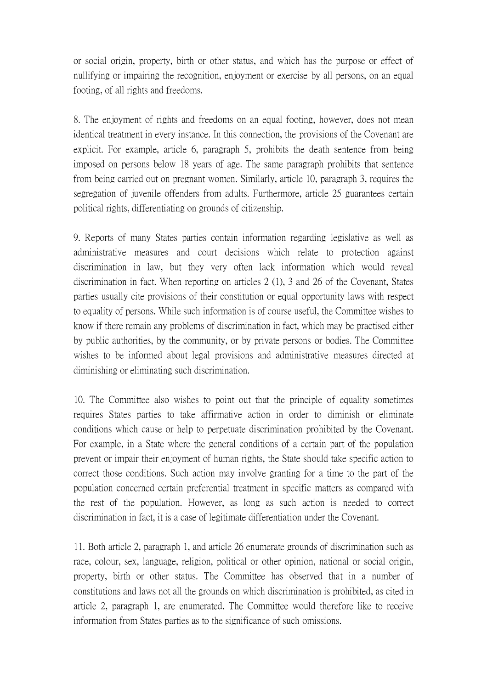or social origin, property, birth or other status, and which has the purpose or effect of nullifying or impairing the recognition, enjoyment or exercise by all persons, on an equal footing, of all rights and freedoms.

8. The enjoyment of rights and freedoms on an equal footing, however, does not mean identical treatment in every instance. In this connection, the provisions of the Covenant are explicit. For example, article 6, paragraph 5, prohibits the death sentence from being imposed on persons below 18 years of age. The same paragraph prohibits that sentence from being carried out on pregnant women. Similarly, article 10, paragraph 3, requires the segregation of juvenile offenders from adults. Furthermore, article 25 guarantees certain political rights, differentiating on grounds of citizenship.

9. Reports of many States parties contain information regarding legislative as well as administrative measures and court decisions which relate to protection against discrimination in law, but they very often lack information which would reveal discrimination in fact. When reporting on articles 2 (1), 3 and 26 of the Covenant, States parties usually cite provisions of their constitution or equal opportunity laws with respect to equality of persons. While such information is of course useful, the Committee wishes to know if there remain any problems of discrimination in fact, which may be practised either by public authorities, by the community, or by private persons or bodies. The Committee wishes to be informed about legal provisions and administrative measures directed at diminishing or eliminating such discrimination.

10. The Committee also wishes to point out that the principle of equality sometimes requires States parties to take affirmative action in order to diminish or eliminate conditions which cause or help to perpetuate discrimination prohibited by the Covenant. For example, in a State where the general conditions of a certain part of the population prevent or impair their enjoyment of human rights, the State should take specific action to correct those conditions. Such action may involve granting for a time to the part of the population concerned certain preferential treatment in specific matters as compared with the rest of the population. However, as long as such action is needed to correct discrimination in fact, it is a case of legitimate differentiation under the Covenant.

11. Both article 2, paragraph 1, and article 26 enumerate grounds of discrimination such as race, colour, sex, language, religion, political or other opinion, national or social origin, property, birth or other status. The Committee has observed that in a number of constitutions and laws not all the grounds on which discrimination is prohibited, as cited in article 2, paragraph 1, are enumerated. The Committee would therefore like to receive information from States parties as to the significance of such omissions.